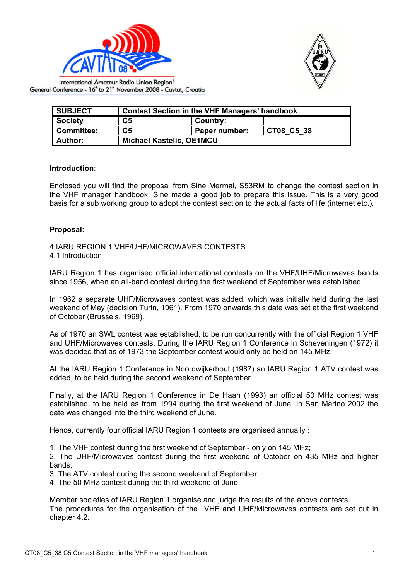



International Amateur Radio Union Region I General Conference - 16<sup>th</sup> to 21<sup>th</sup> November 2008 - Cavtat, Croatia

| <b>SUBJECT</b> | <b>Contest Section in the VHF Managers' handbook</b> |               |            |  |
|----------------|------------------------------------------------------|---------------|------------|--|
| <b>Society</b> | C <sub>5</sub>                                       | ∥ Country:    |            |  |
| Committee:     | C5                                                   | Paper number: | CT08 C5 38 |  |
| <b>Author:</b> | <b>Michael Kastelic, OE1MCU</b>                      |               |            |  |

## **Introduction**:

Enclosed you will find the proposal from Sine Mermal, S53RM to change the contest section in the VHF manager handbook. Sine made a good job to prepare this issue. This is a very good basis for a sub working group to adopt the contest section to the actual facts of life (internet etc.).

## **Proposal:**

4 IARU REGION 1 VHF/UHF/MICROWAVES CONTESTS 4.1 Introduction

IARU Region 1 has organised official international contests on the VHF/UHF/Microwaves bands since 1956, when an all-band contest during the first weekend of September was established.

In 1962 a separate UHF/Microwaves contest was added, which was initially held during the last weekend of May (decision Turin, 1961). From 1970 onwards this date was set at the first weekend of October (Brussels, 1969).

As of 1970 an SWL contest was established, to be run concurrently with the official Region 1 VHF and UHF/Microwaves contests. During the IARU Region 1 Conference in Scheveningen (1972) it was decided that as of 1973 the September contest would only be held on 145 MHz.

At the IARU Region 1 Conference in Noordwijkerhout (1987) an IARU Region 1 ATV contest was added, to be held during the second weekend of September.

Finally, at the IARU Region 1 Conference in De Haan (1993) an official 50 MHz contest was established, to be held as from 1994 during the first weekend of June. In San Marino 2002 the date was changed into the third weekend of June.

Hence, currently four official IARU Region 1 contests are organised annually :

1. The VHF contest during the first weekend of September - only on 145 MHz;

2. The UHF/Microwaves contest during the first weekend of October on 435 MHz and higher bands;

3. The ATV contest during the second weekend of September;

4. The 50 MHz contest during the third weekend of June.

Member societies of IARU Region 1 organise and judge the results of the above contests. The procedures for the organisation of the VHF and UHF/Microwaves contests are set out in chapter 4.2.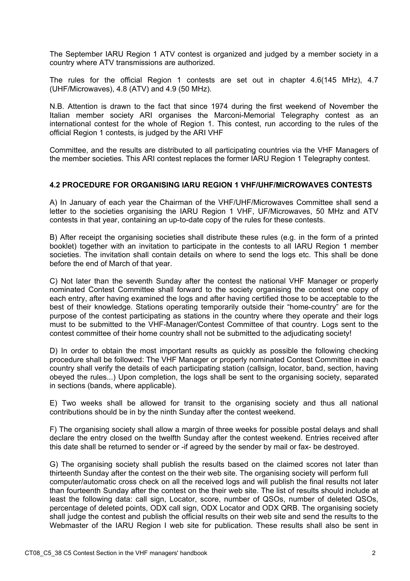The September IARU Region 1 ATV contest is organized and judged by a member society in a country where ATV transmissions are authorized.

The rules for the official Region 1 contests are set out in chapter 4.6(145 MHz), 4.7 (UHF/Microwaves), 4.8 (ATV) and 4.9 (50 MHz).

N.B. Attention is drawn to the fact that since 1974 during the first weekend of November the Italian member society ARI organises the Marconi-Memorial Telegraphy contest as an international contest for the whole of Region 1. This contest, run according to the rules of the official Region 1 contests, is judged by the ARI VHF

Committee, and the results are distributed to all participating countries via the VHF Managers of the member societies. This ARI contest replaces the former IARU Region 1 Telegraphy contest.

## **4.2 PROCEDURE FOR ORGANISING IARU REGION 1 VHF/UHF/MICROWAVES CONTESTS**

A) In January of each year the Chairman of the VHF/UHF/Microwaves Committee shall send a letter to the societies organising the IARU Region 1 VHF, UF/Microwaves, 50 MHz and ATV contests in that year, containing an up-to-date copy of the rules for these contests.

B) After receipt the organising societies shall distribute these rules (e.g. in the form of a printed booklet) together with an invitation to participate in the contests to all IARU Region 1 member societies. The invitation shall contain details on where to send the logs etc. This shall be done before the end of March of that year.

C) Not later than the seventh Sunday after the contest the national VHF Manager or properly nominated Contest Committee shall forward to the society organising the contest one copy of each entry, after having examined the logs and after having certified those to be acceptable to the best of their knowledge. Stations operating temporarily outside their "home-country" are for the purpose of the contest participating as stations in the country where they operate and their logs must to be submitted to the VHF-Manager/Contest Committee of that country. Logs sent to the contest committee of their home country shall not be submitted to the adjudicating society!

D) In order to obtain the most important results as quickly as possible the following checking procedure shall be followed: The VHF Manager or properly nominated Contest Committee in each country shall verify the details of each participating station (callsign, locator, band, section, having obeyed the rules...) Upon completion, the logs shall be sent to the organising society, separated in sections (bands, where applicable).

E) Two weeks shall be allowed for transit to the organising society and thus all national contributions should be in by the ninth Sunday after the contest weekend.

F) The organising society shall allow a margin of three weeks for possible postal delays and shall declare the entry closed on the twelfth Sunday after the contest weekend. Entries received after this date shall be returned to sender or -if agreed by the sender by mail or fax- be destroyed.

G) The organising society shall publish the results based on the claimed scores not later than thirteenth Sunday after the contest on the their web site. The organising society will perform full computer/automatic cross check on all the received logs and will publish the final results not later than fourteenth Sunday after the contest on the their web site. The list of results should include at least the following data: call sign, Locator, score, number of QSOs, number of deleted QSOs, percentage of deleted points, ODX call sign, ODX Locator and ODX QRB. The organising society shall judge the contest and publish the official results on their web site and send the results to the Webmaster of the IARU Region I web site for publication. These results shall also be sent in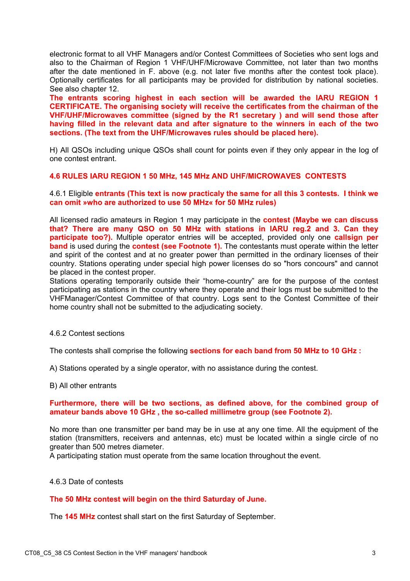electronic format to all VHF Managers and/or Contest Committees of Societies who sent logs and also to the Chairman of Region 1 VHF/UHF/Microwave Committee, not later than two months after the date mentioned in F. above (e.g. not later five months after the contest took place). Optionally certificates for all participants may be provided for distribution by national societies. See also chapter 12.

**The entrants scoring highest in each section will be awarded the IARU REGION 1 CERTIFICATE. The organising society will receive the certificates from the chairman of the VHF/UHF/Microwaves committee (signed by the R1 secretary ) and will send those after having filled in the relevant data and after signature to the winners in each of the two sections. (The text from the UHF/Microwaves rules should be placed here).** 

H) All QSOs including unique QSOs shall count for points even if they only appear in the log of one contest entrant.

## **4.6 RULES IARU REGION 1 50 MHz, 145 MHz AND UHF/MICROWAVES CONTESTS**

4.6.1 Eligible **entrants (This text is now practicaly the same for all this 3 contests. I think we can omit »who are authorized to use 50 MHz« for 50 MHz rules)** 

All licensed radio amateurs in Region 1 may participate in the **contest (Maybe we can discuss that? There are many QSO on 50 MHz with stations in IARU reg.2 and 3. Can they participate too?).** Multiple operator entries will be accepted, provided only one **callsign per band** is used during the **contest (see Footnote 1).** The contestants must operate within the letter and spirit of the contest and at no greater power than permitted in the ordinary licenses of their country. Stations operating under special high power licenses do so "hors concours" and cannot be placed in the contest proper.

Stations operating temporarily outside their "home-country" are for the purpose of the contest participating as stations in the country where they operate and their logs must be submitted to the VHFManager/Contest Committee of that country. Logs sent to the Contest Committee of their home country shall not be submitted to the adjudicating society.

4.6.2 Contest sections

The contests shall comprise the following **sections for each band from 50 MHz to 10 GHz :** 

A) Stations operated by a single operator, with no assistance during the contest.

B) All other entrants

#### **Furthermore, there will be two sections, as defined above, for the combined group of amateur bands above 10 GHz , the so-called millimetre group (see Footnote 2).**

No more than one transmitter per band may be in use at any one time. All the equipment of the station (transmitters, receivers and antennas, etc) must be located within a single circle of no greater than 500 metres diameter.

A participating station must operate from the same location throughout the event.

# 4.6.3 Date of contests

## **The 50 MHz contest will begin on the third Saturday of June.**

The **145 MHz** contest shall start on the first Saturday of September.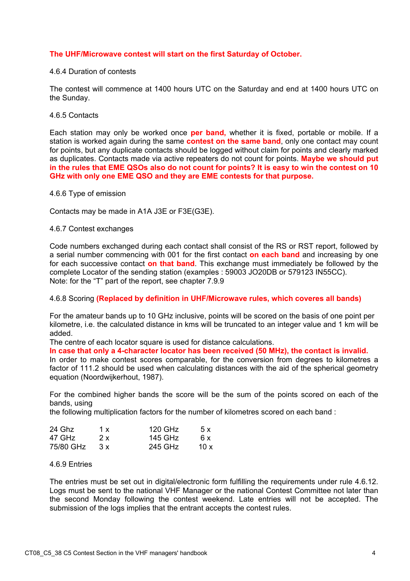# **The UHF/Microwave contest will start on the first Saturday of October.**

## 4.6.4 Duration of contests

The contest will commence at 1400 hours UTC on the Saturday and end at 1400 hours UTC on the Sunday.

## 4.6.5 Contacts

Each station may only be worked once **per band,** whether it is fixed, portable or mobile. If a station is worked again during the same **contest on the same band**, only one contact may count for points, but any duplicate contacts should be logged without claim for points and clearly marked as duplicates. Contacts made via active repeaters do not count for points. **Maybe we should put in the rules that EME QSOs also do not count for points? It is easy to win the contest on 10 GHz with only one EME QSO and they are EME contests for that purpose.** 

## 4.6.6 Type of emission

Contacts may be made in A1A J3E or F3E(G3E).

## 4.6.7 Contest exchanges

Code numbers exchanged during each contact shall consist of the RS or RST report, followed by a serial number commencing with 001 for the first contact **on each band** and increasing by one for each successive contact **on that band**. This exchange must immediately be followed by the complete Locator of the sending station (examples : 59003 JO20DB or 579123 IN55CC). Note: for the "T" part of the report, see chapter 7.9.9

## 4.6.8 Scoring **(Replaced by definition in UHF/Microwave rules, which coveres all bands)**

For the amateur bands up to 10 GHz inclusive, points will be scored on the basis of one point per kilometre, i.e. the calculated distance in kms will be truncated to an integer value and 1 km will be added.

The centre of each locator square is used for distance calculations.

**In case that only a 4-character locator has been received (50 MHz), the contact is invalid.** 

In order to make contest scores comparable, for the conversion from degrees to kilometres a factor of 111.2 should be used when calculating distances with the aid of the spherical geometry equation (Noordwijkerhout, 1987).

For the combined higher bands the score will be the sum of the points scored on each of the bands, using

the following multiplication factors for the number of kilometres scored on each band :

| 24 Ghz    | 1 x | 120 GHz | 5x   |
|-----------|-----|---------|------|
| 47 GHz    | 2x  | 145 GHz | 6 x  |
| 75/80 GHz | 3x  | 245 GHz | 10 x |

# 4.6.9 Entries

The entries must be set out in digital/electronic form fulfilling the requirements under rule 4.6.12. Logs must be sent to the national VHF Manager or the national Contest Committee not later than the second Monday following the contest weekend. Late entries will not be accepted. The submission of the logs implies that the entrant accepts the contest rules.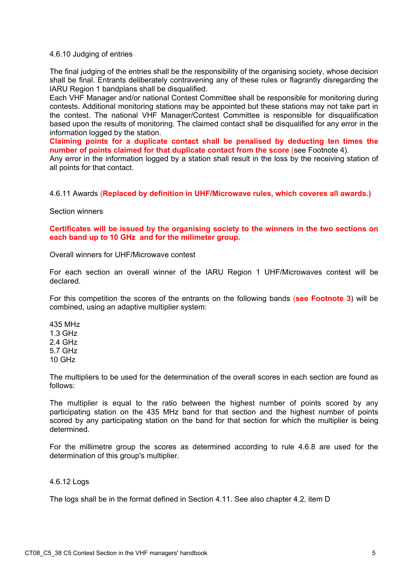## 4.6.10 Judging of entries

The final judging of the entries shall be the responsibility of the organising society, whose decision shall be final. Entrants deliberately contravening any of these rules or flagrantly disregarding the IARU Region 1 bandplans shall be disqualified.

Each VHF Manager and/or national Contest Committee shall be responsible for monitoring during contests. Additional monitoring stations may be appointed but these stations may not take part in the contest. The national VHF Manager/Contest Committee is responsible for disqualification based upon the results of monitoring. The claimed contact shall be disqualified for any error in the information logged by the station.

**Claiming points for a duplicate contact shall be penalised by deducting ten times the number of points claimed for that duplicate contact from the score** (see Footnote 4).

Any error in the information logged by a station shall result in the loss by the receiving station of all points for that contact.

## 4.6.11 Awards (**Replaced by definition in UHF/Microwave rules, which coveres all awards.)**

Section winners

**Certificates will be issued by the organising society to the winners in the two sections on each band up to 10 GHz and for the milimeter group.** 

Overall winners for UHF/Microwave contest

For each section an overall winner of the IARU Region 1 UHF/Microwaves contest will be declared.

For this competition the scores of the entrants on the following bands (**see Footnote 3**) will be combined, using an adaptive multiplier system:

435 MHz 1.3 GHz 2.4 GHz 5.7 GHz 10 GHz

The multipliers to be used for the determination of the overall scores in each section are found as follows:

The multiplier is equal to the ratio between the highest number of points scored by any participating station on the 435 MHz band for that section and the highest number of points scored by any participating station on the band for that section for which the multiplier is being determined.

For the millimetre group the scores as determined according to rule 4.6.8 are used for the determination of this group's multiplier.

## 4.6.12 Logs

The logs shall be in the format defined in Section 4.11. See also chapter 4.2, item D